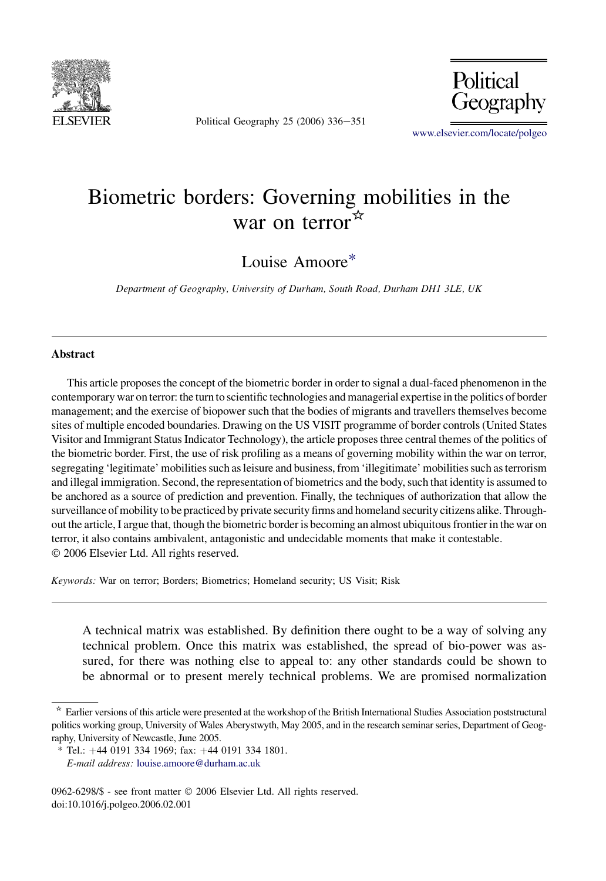

Political Geography 25 (2006)  $336 - 351$ 



[www.elsevier.com/locate/polgeo](http://www.elsevier.com/locate/polgeo)

# Biometric borders: Governing mobilities in the war on terror  $\mathbb{R}^2$

Louise Amoore\*

Department of Geography, University of Durham, South Road, Durham DH1 3LE, UK

#### Abstract

This article proposes the concept of the biometric border in order to signal a dual-faced phenomenon in the contemporary war on terror: the turn to scientific technologies and managerial expertise in the politics of border management; and the exercise of biopower such that the bodies of migrants and travellers themselves become sites of multiple encoded boundaries. Drawing on the US VISIT programme of border controls (United States Visitor and Immigrant Status Indicator Technology), the article proposes three central themes of the politics of the biometric border. First, the use of risk profiling as a means of governing mobility within the war on terror, segregating 'legitimate' mobilities such as leisure and business, from 'illegitimate' mobilities such as terrorism and illegal immigration. Second, the representation of biometrics and the body, such that identity is assumed to be anchored as a source of prediction and prevention. Finally, the techniques of authorization that allow the surveillance of mobility to be practiced by private security firms and homeland security citizens alike. Throughout the article, I argue that, though the biometric border is becoming an almost ubiquitous frontier in the war on terror, it also contains ambivalent, antagonistic and undecidable moments that make it contestable. 2006 Elsevier Ltd. All rights reserved.

Keywords: War on terror; Borders; Biometrics; Homeland security; US Visit; Risk

A technical matrix was established. By definition there ought to be a way of solving any technical problem. Once this matrix was established, the spread of bio-power was assured, for there was nothing else to appeal to: any other standards could be shown to be abnormal or to present merely technical problems. We are promised normalization

0962-6298/\$ - see front matter 2006 Elsevier Ltd. All rights reserved. doi:10.1016/j.polgeo.2006.02.001

<sup>\*</sup> Earlier versions of this article were presented at the workshop of the British International Studies Association poststructural politics working group, University of Wales Aberystwyth, May 2005, and in the research seminar series, Department of Geography, University of Newcastle, June 2005.

 $*$  Tel.:  $+44$  0191 334 1969; fax:  $+44$  0191 334 1801. E-mail address: [louise.amoore@durham.ac.uk](mailto:louise.amoore@durham.ac.uk)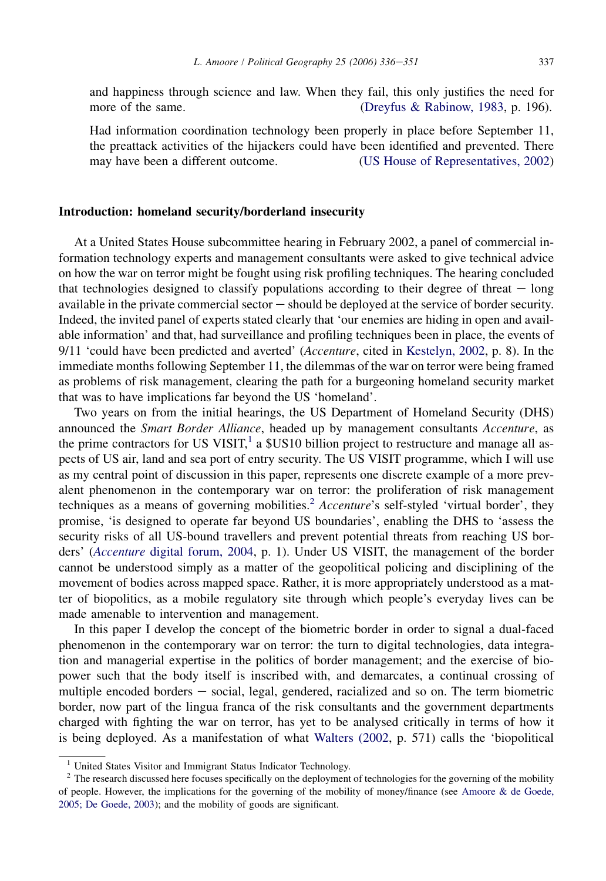and happiness through science and law. When they fail, this only justifies the need for more of the same. ([Dreyfus & Rabinow, 1983](#page-14-0), p. 196).

Had information coordination technology been properly in place before September 11, the preattack activities of the hijackers could have been identified and prevented. There may have been a different outcome. ([US House of Representatives, 2002\)](#page-15-0)

## Introduction: homeland security/borderland insecurity

At a United States House subcommittee hearing in February 2002, a panel of commercial information technology experts and management consultants were asked to give technical advice on how the war on terror might be fought using risk profiling techniques. The hearing concluded that technologies designed to classify populations according to their degree of threat  $-$  long available in the private commercial sector  $-$  should be deployed at the service of border security. Indeed, the invited panel of experts stated clearly that 'our enemies are hiding in open and available information' and that, had surveillance and profiling techniques been in place, the events of 9/11 'could have been predicted and averted' (*Accenture*, cited in [Kestelyn, 2002,](#page-14-0) p. 8). In the immediate months following September 11, the dilemmas of the war on terror were being framed as problems of risk management, clearing the path for a burgeoning homeland security market that was to have implications far beyond the US 'homeland'.

Two years on from the initial hearings, the US Department of Homeland Security (DHS) announced the Smart Border Alliance, headed up by management consultants Accenture, as the prime contractors for US VISIT,<sup>1</sup> a  $$US10$  billion project to restructure and manage all aspects of US air, land and sea port of entry security. The US VISIT programme, which I will use as my central point of discussion in this paper, represents one discrete example of a more prevalent phenomenon in the contemporary war on terror: the proliferation of risk management techniques as a means of governing mobilities.<sup>2</sup> Accenture's self-styled 'virtual border', they promise, 'is designed to operate far beyond US boundaries', enabling the DHS to 'assess the security risks of all US-bound travellers and prevent potential threats from reaching US borders' (Accenture [digital forum, 2004,](#page-13-0) p. 1). Under US VISIT, the management of the border cannot be understood simply as a matter of the geopolitical policing and disciplining of the movement of bodies across mapped space. Rather, it is more appropriately understood as a matter of biopolitics, as a mobile regulatory site through which people's everyday lives can be made amenable to intervention and management.

In this paper I develop the concept of the biometric border in order to signal a dual-faced phenomenon in the contemporary war on terror: the turn to digital technologies, data integration and managerial expertise in the politics of border management; and the exercise of biopower such that the body itself is inscribed with, and demarcates, a continual crossing of multiple encoded borders  $-$  social, legal, gendered, racialized and so on. The term biometric border, now part of the lingua franca of the risk consultants and the government departments charged with fighting the war on terror, has yet to be analysed critically in terms of how it is being deployed. As a manifestation of what [Walters \(2002](#page-15-0), p. 571) calls the 'biopolitical

<sup>&</sup>lt;sup>1</sup> United States Visitor and Immigrant Status Indicator Technology.

<sup>&</sup>lt;sup>2</sup> The research discussed here focuses specifically on the deployment of technologies for the governing of the mobility of people. However, the implications for the governing of the mobility of money/finance (see [Amoore & de Goede,](#page-13-0) [2005; De Goede, 2003](#page-13-0)); and the mobility of goods are significant.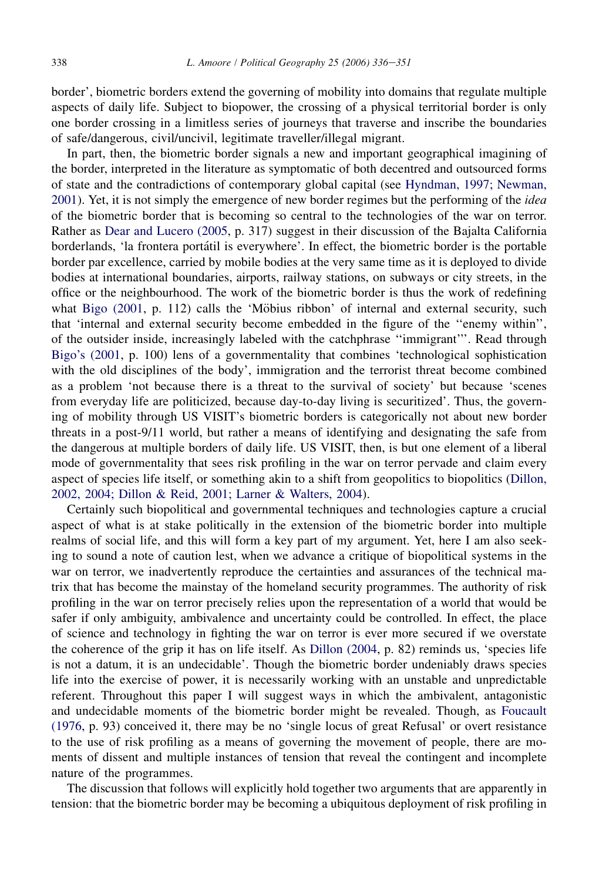border', biometric borders extend the governing of mobility into domains that regulate multiple aspects of daily life. Subject to biopower, the crossing of a physical territorial border is only one border crossing in a limitless series of journeys that traverse and inscribe the boundaries of safe/dangerous, civil/uncivil, legitimate traveller/illegal migrant.

In part, then, the biometric border signals a new and important geographical imagining of the border, interpreted in the literature as symptomatic of both decentred and outsourced forms of state and the contradictions of contemporary global capital (see [Hyndman, 1997; Newman,](#page-14-0) [2001\)](#page-14-0). Yet, it is not simply the emergence of new border regimes but the performing of the *idea* of the biometric border that is becoming so central to the technologies of the war on terror. Rather as [Dear and Lucero \(2005,](#page-14-0) p. 317) suggest in their discussion of the Bajalta California borderlands, 'la frontera portátil is everywhere'. In effect, the biometric border is the portable border par excellence, carried by mobile bodies at the very same time as it is deployed to divide bodies at international boundaries, airports, railway stations, on subways or city streets, in the office or the neighbourhood. The work of the biometric border is thus the work of redefining what Bigo  $(2001, p. 112)$  calls the 'Möbius ribbon' of internal and external security, such that 'internal and external security become embedded in the figure of the ''enemy within'', of the outsider inside, increasingly labeled with the catchphrase ''immigrant'''. Read through [Bigo's \(2001](#page-13-0), p. 100) lens of a governmentality that combines 'technological sophistication with the old disciplines of the body', immigration and the terrorist threat become combined as a problem 'not because there is a threat to the survival of society' but because 'scenes from everyday life are politicized, because day-to-day living is securitized'. Thus, the governing of mobility through US VISIT's biometric borders is categorically not about new border threats in a post-9/11 world, but rather a means of identifying and designating the safe from the dangerous at multiple borders of daily life. US VISIT, then, is but one element of a liberal mode of governmentality that sees risk profiling in the war on terror pervade and claim every aspect of species life itself, or something akin to a shift from geopolitics to biopolitics [\(Dillon,](#page-14-0) [2002, 2004; Dillon & Reid, 2001; Larner & Walters, 2004\)](#page-14-0).

Certainly such biopolitical and governmental techniques and technologies capture a crucial aspect of what is at stake politically in the extension of the biometric border into multiple realms of social life, and this will form a key part of my argument. Yet, here I am also seeking to sound a note of caution lest, when we advance a critique of biopolitical systems in the war on terror, we inadvertently reproduce the certainties and assurances of the technical matrix that has become the mainstay of the homeland security programmes. The authority of risk profiling in the war on terror precisely relies upon the representation of a world that would be safer if only ambiguity, ambivalence and uncertainty could be controlled. In effect, the place of science and technology in fighting the war on terror is ever more secured if we overstate the coherence of the grip it has on life itself. As [Dillon \(2004](#page-14-0), p. 82) reminds us, 'species life is not a datum, it is an undecidable'. Though the biometric border undeniably draws species life into the exercise of power, it is necessarily working with an unstable and unpredictable referent. Throughout this paper I will suggest ways in which the ambivalent, antagonistic and undecidable moments of the biometric border might be revealed. Though, as [Foucault](#page-14-0) [\(1976](#page-14-0), p. 93) conceived it, there may be no 'single locus of great Refusal' or overt resistance to the use of risk profiling as a means of governing the movement of people, there are moments of dissent and multiple instances of tension that reveal the contingent and incomplete nature of the programmes.

The discussion that follows will explicitly hold together two arguments that are apparently in tension: that the biometric border may be becoming a ubiquitous deployment of risk profiling in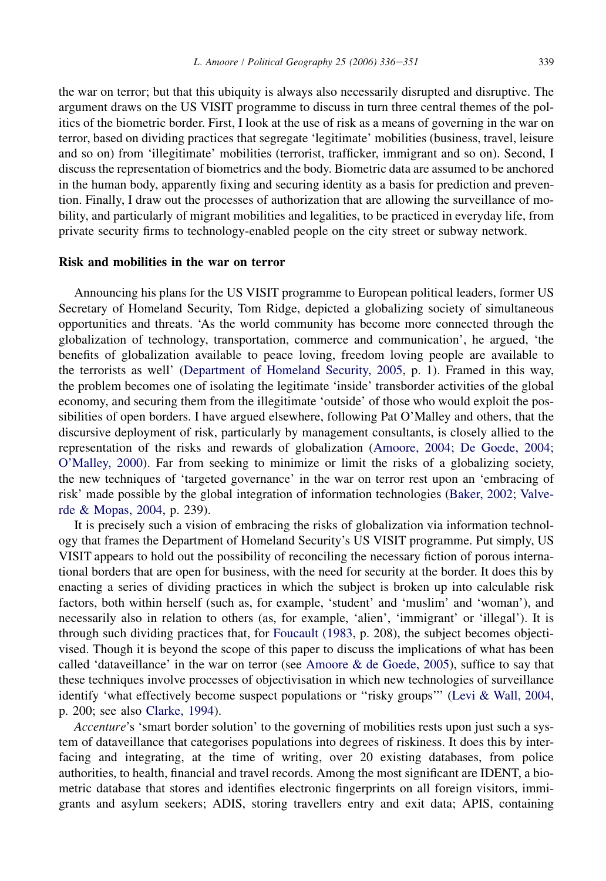the war on terror; but that this ubiquity is always also necessarily disrupted and disruptive. The argument draws on the US VISIT programme to discuss in turn three central themes of the politics of the biometric border. First, I look at the use of risk as a means of governing in the war on terror, based on dividing practices that segregate 'legitimate' mobilities (business, travel, leisure and so on) from 'illegitimate' mobilities (terrorist, trafficker, immigrant and so on). Second, I discuss the representation of biometrics and the body. Biometric data are assumed to be anchored in the human body, apparently fixing and securing identity as a basis for prediction and prevention. Finally, I draw out the processes of authorization that are allowing the surveillance of mobility, and particularly of migrant mobilities and legalities, to be practiced in everyday life, from private security firms to technology-enabled people on the city street or subway network.

# Risk and mobilities in the war on terror

Announcing his plans for the US VISIT programme to European political leaders, former US Secretary of Homeland Security, Tom Ridge, depicted a globalizing society of simultaneous opportunities and threats. 'As the world community has become more connected through the globalization of technology, transportation, commerce and communication', he argued, 'the benefits of globalization available to peace loving, freedom loving people are available to the terrorists as well' ([Department of Homeland Security, 2005](#page-14-0), p. 1). Framed in this way, the problem becomes one of isolating the legitimate 'inside' transborder activities of the global economy, and securing them from the illegitimate 'outside' of those who would exploit the possibilities of open borders. I have argued elsewhere, following Pat O'Malley and others, that the discursive deployment of risk, particularly by management consultants, is closely allied to the representation of the risks and rewards of globalization [\(Amoore, 2004; De Goede, 2004;](#page-13-0) [O'Malley, 2000](#page-13-0)). Far from seeking to minimize or limit the risks of a globalizing society, the new techniques of 'targeted governance' in the war on terror rest upon an 'embracing of risk' made possible by the global integration of information technologies [\(Baker, 2002; Valve](#page-13-0)[rde & Mopas, 2004,](#page-13-0) p. 239).

It is precisely such a vision of embracing the risks of globalization via information technology that frames the Department of Homeland Security's US VISIT programme. Put simply, US VISIT appears to hold out the possibility of reconciling the necessary fiction of porous international borders that are open for business, with the need for security at the border. It does this by enacting a series of dividing practices in which the subject is broken up into calculable risk factors, both within herself (such as, for example, 'student' and 'muslim' and 'woman'), and necessarily also in relation to others (as, for example, 'alien', 'immigrant' or 'illegal'). It is through such dividing practices that, for [Foucault \(1983](#page-14-0), p. 208), the subject becomes objectivised. Though it is beyond the scope of this paper to discuss the implications of what has been called 'dataveillance' in the war on terror (see Amoore  $\&$  de Goede, 2005), suffice to say that these techniques involve processes of objectivisation in which new technologies of surveillance identify 'what effectively become suspect populations or ''risky groups''' [\(Levi & Wall, 2004](#page-14-0), p. 200; see also [Clarke, 1994](#page-14-0)).

Accenture's 'smart border solution' to the governing of mobilities rests upon just such a system of dataveillance that categorises populations into degrees of riskiness. It does this by interfacing and integrating, at the time of writing, over 20 existing databases, from police authorities, to health, financial and travel records. Among the most significant are IDENT, a biometric database that stores and identifies electronic fingerprints on all foreign visitors, immigrants and asylum seekers; ADIS, storing travellers entry and exit data; APIS, containing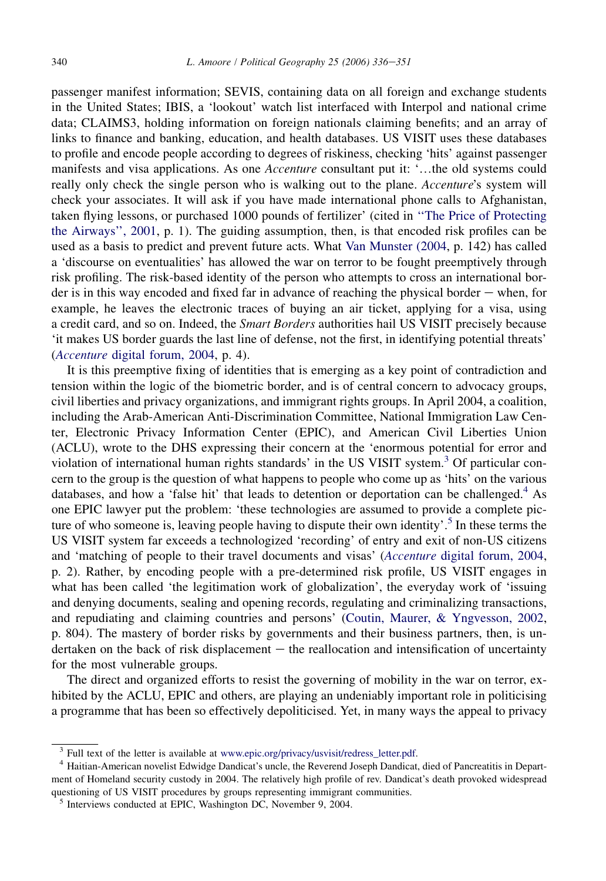passenger manifest information; SEVIS, containing data on all foreign and exchange students in the United States; IBIS, a 'lookout' watch list interfaced with Interpol and national crime data; CLAIMS3, holding information on foreign nationals claiming benefits; and an array of links to finance and banking, education, and health databases. US VISIT uses these databases to profile and encode people according to degrees of riskiness, checking 'hits' against passenger manifests and visa applications. As one *Accenture* consultant put it: '...the old systems could really only check the single person who is walking out to the plane. Accenture's system will check your associates. It will ask if you have made international phone calls to Afghanistan, taken flying lessons, or purchased 1000 pounds of fertilizer' (cited in [''The Price of Protecting](#page-15-0) [the Airways'', 2001,](#page-15-0) p. 1). The guiding assumption, then, is that encoded risk profiles can be used as a basis to predict and prevent future acts. What [Van Munster \(2004,](#page-15-0) p. 142) has called a 'discourse on eventualities' has allowed the war on terror to be fought preemptively through risk profiling. The risk-based identity of the person who attempts to cross an international border is in this way encoded and fixed far in advance of reaching the physical border  $-$  when, for example, he leaves the electronic traces of buying an air ticket, applying for a visa, using a credit card, and so on. Indeed, the *Smart Borders* authorities hail US VISIT precisely because 'it makes US border guards the last line of defense, not the first, in identifying potential threats' (Accenture [digital forum, 2004,](#page-13-0) p. 4).

It is this preemptive fixing of identities that is emerging as a key point of contradiction and tension within the logic of the biometric border, and is of central concern to advocacy groups, civil liberties and privacy organizations, and immigrant rights groups. In April 2004, a coalition, including the Arab-American Anti-Discrimination Committee, National Immigration Law Center, Electronic Privacy Information Center (EPIC), and American Civil Liberties Union (ACLU), wrote to the DHS expressing their concern at the 'enormous potential for error and violation of international human rights standards' in the US VISIT system.<sup>3</sup> Of particular concern to the group is the question of what happens to people who come up as 'hits' on the various databases, and how a 'false hit' that leads to detention or deportation can be challenged.<sup>4</sup> As one EPIC lawyer put the problem: 'these technologies are assumed to provide a complete picture of who someone is, leaving people having to dispute their own identity'.<sup>5</sup> In these terms the US VISIT system far exceeds a technologized 'recording' of entry and exit of non-US citizens and 'matching of people to their travel documents and visas' (Accenture [digital forum, 2004,](#page-13-0) p. 2). Rather, by encoding people with a pre-determined risk profile, US VISIT engages in what has been called 'the legitimation work of globalization', the everyday work of 'issuing and denying documents, sealing and opening records, regulating and criminalizing transactions, and repudiating and claiming countries and persons' [\(Coutin, Maurer, & Yngvesson, 2002,](#page-14-0) p. 804). The mastery of border risks by governments and their business partners, then, is undertaken on the back of risk displacement  $-$  the reallocation and intensification of uncertainty for the most vulnerable groups.

The direct and organized efforts to resist the governing of mobility in the war on terror, exhibited by the ACLU, EPIC and others, are playing an undeniably important role in politicising a programme that has been so effectively depoliticised. Yet, in many ways the appeal to privacy

<sup>&</sup>lt;sup>3</sup> Full text of the letter is available at [www.epic.org/privacy/usvisit/redress\\_letter.pdf.](http://www.epic.org/privacy/usvisit/redress_letter.pdf)<br><sup>4</sup> Haitian-American novelist Edwidge Dandicat's uncle, the Reverend Joseph Dandicat, died of Pancreatitis in Department of Homeland security custody in 2004. The relatively high profile of rev. Dandicat's death provoked widespread questioning of US VISIT procedures by groups representing immigrant communities.

<sup>5</sup> Interviews conducted at EPIC, Washington DC, November 9, 2004.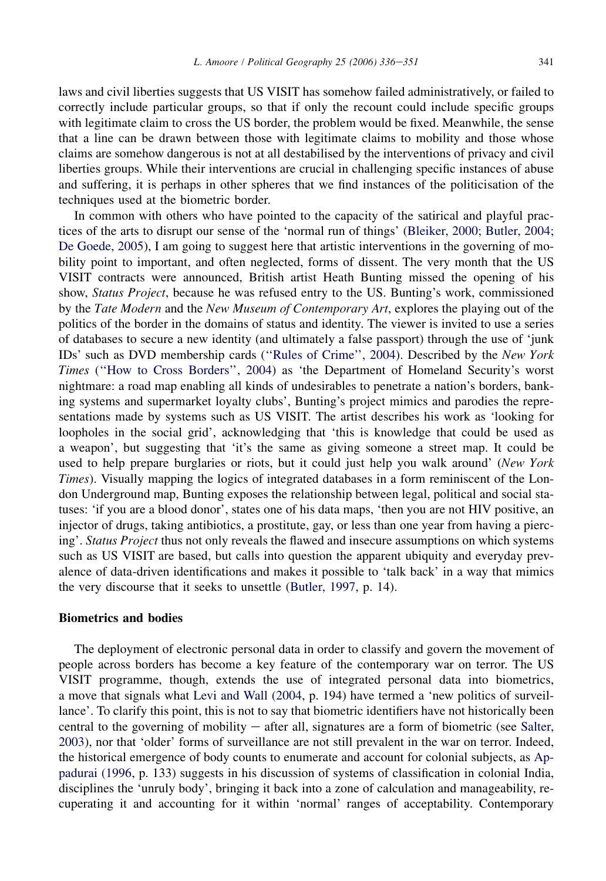laws and civil liberties suggests that US VISIT has somehow failed administratively, or failed to correctly include particular groups, so that if only the recount could include specific groups with legitimate claim to cross the US border, the problem would be fixed. Meanwhile, the sense that a line can be drawn between those with legitimate claims to mobility and those whose claims are somehow dangerous is not at all destabilised by the interventions of privacy and civil liberties groups. While their interventions are crucial in challenging specific instances of abuse and suffering, it is perhaps in other spheres that we find instances of the politicisation of the techniques used at the biometric border.

In common with others who have pointed to the capacity of the satirical and playful practices of the arts to disrupt our sense of the 'normal run of things' ([Bleiker, 2000; Butler, 2004;](#page-13-0) [De Goede, 2005](#page-13-0)), I am going to suggest here that artistic interventions in the governing of mobility point to important, and often neglected, forms of dissent. The very month that the US VISIT contracts were announced, British artist Heath Bunting missed the opening of his show, Status Project, because he was refused entry to the US. Bunting's work, commissioned by the Tate Modern and the New Museum of Contemporary Art, explores the playing out of the politics of the border in the domains of status and identity. The viewer is invited to use a series of databases to secure a new identity (and ultimately a false passport) through the use of 'junk IDs' such as DVD membership cards ([''Rules of Crime'', 2004\)](#page-15-0). Described by the New York Times ([''How to Cross Borders'', 2004](#page-14-0)) as 'the Department of Homeland Security's worst nightmare: a road map enabling all kinds of undesirables to penetrate a nation's borders, banking systems and supermarket loyalty clubs', Bunting's project mimics and parodies the representations made by systems such as US VISIT. The artist describes his work as 'looking for loopholes in the social grid', acknowledging that 'this is knowledge that could be used as a weapon', but suggesting that 'it's the same as giving someone a street map. It could be used to help prepare burglaries or riots, but it could just help you walk around' (New York Times). Visually mapping the logics of integrated databases in a form reminiscent of the London Underground map, Bunting exposes the relationship between legal, political and social statuses: 'if you are a blood donor', states one of his data maps, 'then you are not HIV positive, an injector of drugs, taking antibiotics, a prostitute, gay, or less than one year from having a piercing'. Status Project thus not only reveals the flawed and insecure assumptions on which systems such as US VISIT are based, but calls into question the apparent ubiquity and everyday prevalence of data-driven identifications and makes it possible to 'talk back' in a way that mimics the very discourse that it seeks to unsettle [\(Butler, 1997,](#page-13-0) p. 14).

## Biometrics and bodies

The deployment of electronic personal data in order to classify and govern the movement of people across borders has become a key feature of the contemporary war on terror. The US VISIT programme, though, extends the use of integrated personal data into biometrics, a move that signals what [Levi and Wall \(2004](#page-14-0), p. 194) have termed a 'new politics of surveillance'. To clarify this point, this is not to say that biometric identifiers have not historically been central to the governing of mobility  $-$  after all, signatures are a form of biometric (see [Salter,](#page-15-0) [2003](#page-15-0)), nor that 'older' forms of surveillance are not still prevalent in the war on terror. Indeed, the historical emergence of body counts to enumerate and account for colonial subjects, as [Ap](#page-13-0)[padurai \(1996,](#page-13-0) p. 133) suggests in his discussion of systems of classification in colonial India, disciplines the 'unruly body', bringing it back into a zone of calculation and manageability, recuperating it and accounting for it within 'normal' ranges of acceptability. Contemporary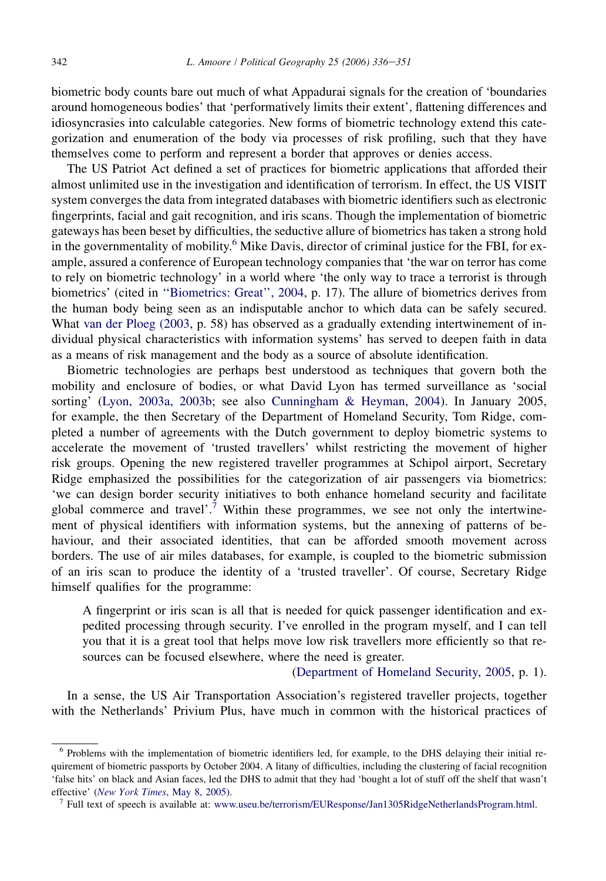biometric body counts bare out much of what Appadurai signals for the creation of 'boundaries around homogeneous bodies' that 'performatively limits their extent', flattening differences and idiosyncrasies into calculable categories. New forms of biometric technology extend this categorization and enumeration of the body via processes of risk profiling, such that they have themselves come to perform and represent a border that approves or denies access.

The US Patriot Act defined a set of practices for biometric applications that afforded their almost unlimited use in the investigation and identification of terrorism. In effect, the US VISIT system converges the data from integrated databases with biometric identifiers such as electronic fingerprints, facial and gait recognition, and iris scans. Though the implementation of biometric gateways has been beset by difficulties, the seductive allure of biometrics has taken a strong hold in the governmentality of mobility.<sup>6</sup> Mike Davis, director of criminal justice for the FBI, for example, assured a conference of European technology companies that 'the war on terror has come to rely on biometric technology' in a world where 'the only way to trace a terrorist is through biometrics' (cited in [''Biometrics: Great'', 2004,](#page-13-0) p. 17). The allure of biometrics derives from the human body being seen as an indisputable anchor to which data can be safely secured. What [van der Ploeg \(2003,](#page-15-0) p. 58) has observed as a gradually extending intertwinement of individual physical characteristics with information systems' has served to deepen faith in data as a means of risk management and the body as a source of absolute identification.

Biometric technologies are perhaps best understood as techniques that govern both the mobility and enclosure of bodies, or what David Lyon has termed surveillance as 'social sorting' [\(Lyon, 2003a, 2003b;](#page-14-0) see also [Cunningham & Heyman, 2004](#page-14-0)). In January 2005, for example, the then Secretary of the Department of Homeland Security, Tom Ridge, completed a number of agreements with the Dutch government to deploy biometric systems to accelerate the movement of 'trusted travellers' whilst restricting the movement of higher risk groups. Opening the new registered traveller programmes at Schipol airport, Secretary Ridge emphasized the possibilities for the categorization of air passengers via biometrics: 'we can design border security initiatives to both enhance homeland security and facilitate global commerce and travel'.<sup>7</sup> Within these programmes, we see not only the intertwinement of physical identifiers with information systems, but the annexing of patterns of behaviour, and their associated identities, that can be afforded smooth movement across borders. The use of air miles databases, for example, is coupled to the biometric submission of an iris scan to produce the identity of a 'trusted traveller'. Of course, Secretary Ridge himself qualifies for the programme:

A fingerprint or iris scan is all that is needed for quick passenger identification and expedited processing through security. I've enrolled in the program myself, and I can tell you that it is a great tool that helps move low risk travellers more efficiently so that resources can be focused elsewhere, where the need is greater.

[\(Department of Homeland Security, 2005,](#page-14-0) p. 1).

In a sense, the US Air Transportation Association's registered traveller projects, together with the Netherlands' Privium Plus, have much in common with the historical practices of

<sup>6</sup> Problems with the implementation of biometric identifiers led, for example, to the DHS delaying their initial requirement of biometric passports by October 2004. A litany of difficulties, including the clustering of facial recognition 'false hits' on black and Asian faces, led the DHS to admit that they had 'bought a lot of stuff off the shelf that wasn't effective' ([New York Times](#page-13-0), May 8, 2005).<br><sup>7</sup> Full text of speech is available at: [www.useu.be/terrorism/EUResponse/Jan1305RidgeNetherlandsProgram.html](http://www.useu.be/terrorism/EUResponse/Jan1305RidgeNetherlandsProgram.html).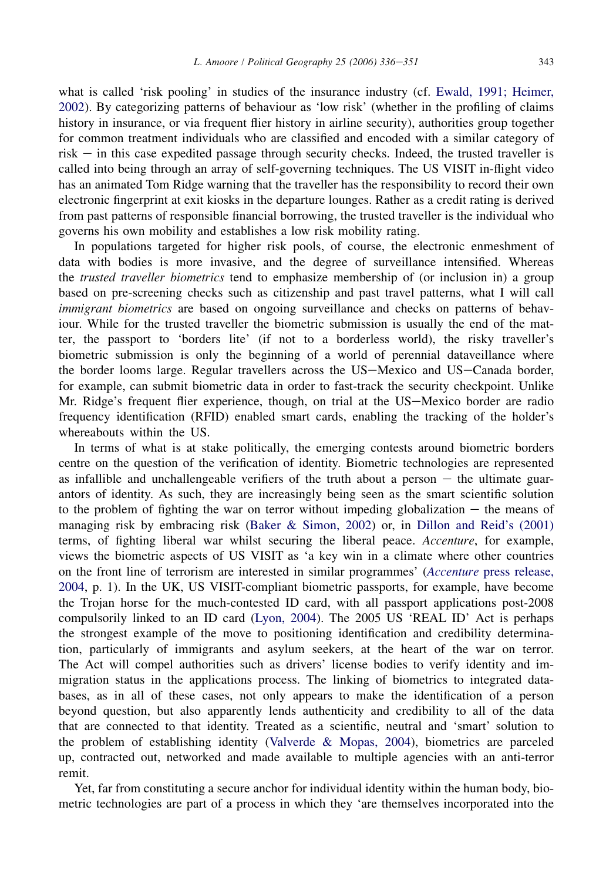what is called 'risk pooling' in studies of the insurance industry (cf. [Ewald, 1991; Heimer,](#page-14-0) [2002](#page-14-0)). By categorizing patterns of behaviour as 'low risk' (whether in the profiling of claims history in insurance, or via frequent flier history in airline security), authorities group together for common treatment individuals who are classified and encoded with a similar category of  $risk$  – in this case expedited passage through security checks. Indeed, the trusted traveller is called into being through an array of self-governing techniques. The US VISIT in-flight video has an animated Tom Ridge warning that the traveller has the responsibility to record their own electronic fingerprint at exit kiosks in the departure lounges. Rather as a credit rating is derived from past patterns of responsible financial borrowing, the trusted traveller is the individual who governs his own mobility and establishes a low risk mobility rating.

In populations targeted for higher risk pools, of course, the electronic enmeshment of data with bodies is more invasive, and the degree of surveillance intensified. Whereas the *trusted traveller biometrics* tend to emphasize membership of (or inclusion in) a group based on pre-screening checks such as citizenship and past travel patterns, what I will call immigrant biometrics are based on ongoing surveillance and checks on patterns of behaviour. While for the trusted traveller the biometric submission is usually the end of the matter, the passport to 'borders lite' (if not to a borderless world), the risky traveller's biometric submission is only the beginning of a world of perennial dataveillance where the border looms large. Regular travellers across the US-Mexico and US-Canada border, for example, can submit biometric data in order to fast-track the security checkpoint. Unlike Mr. Ridge's frequent flier experience, though, on trial at the US-Mexico border are radio frequency identification (RFID) enabled smart cards, enabling the tracking of the holder's whereabouts within the US.

In terms of what is at stake politically, the emerging contests around biometric borders centre on the question of the verification of identity. Biometric technologies are represented as infallible and unchallengeable verifiers of the truth about a person  $-$  the ultimate guarantors of identity. As such, they are increasingly being seen as the smart scientific solution to the problem of fighting the war on terror without impeding globalization  $-$  the means of managing risk by embracing risk [\(Baker & Simon, 2002\)](#page-13-0) or, in [Dillon and Reid's \(2001\)](#page-14-0) terms, of fighting liberal war whilst securing the liberal peace. Accenture, for example, views the biometric aspects of US VISIT as 'a key win in a climate where other countries on the front line of terrorism are interested in similar programmes' (Accenture [press release,](#page-13-0) [2004](#page-13-0), p. 1). In the UK, US VISIT-compliant biometric passports, for example, have become the Trojan horse for the much-contested ID card, with all passport applications post-2008 compulsorily linked to an ID card [\(Lyon, 2004](#page-15-0)). The 2005 US 'REAL ID' Act is perhaps the strongest example of the move to positioning identification and credibility determination, particularly of immigrants and asylum seekers, at the heart of the war on terror. The Act will compel authorities such as drivers' license bodies to verify identity and immigration status in the applications process. The linking of biometrics to integrated databases, as in all of these cases, not only appears to make the identification of a person beyond question, but also apparently lends authenticity and credibility to all of the data that are connected to that identity. Treated as a scientific, neutral and 'smart' solution to the problem of establishing identity [\(Valverde & Mopas, 2004](#page-15-0)), biometrics are parceled up, contracted out, networked and made available to multiple agencies with an anti-terror remit.

Yet, far from constituting a secure anchor for individual identity within the human body, biometric technologies are part of a process in which they 'are themselves incorporated into the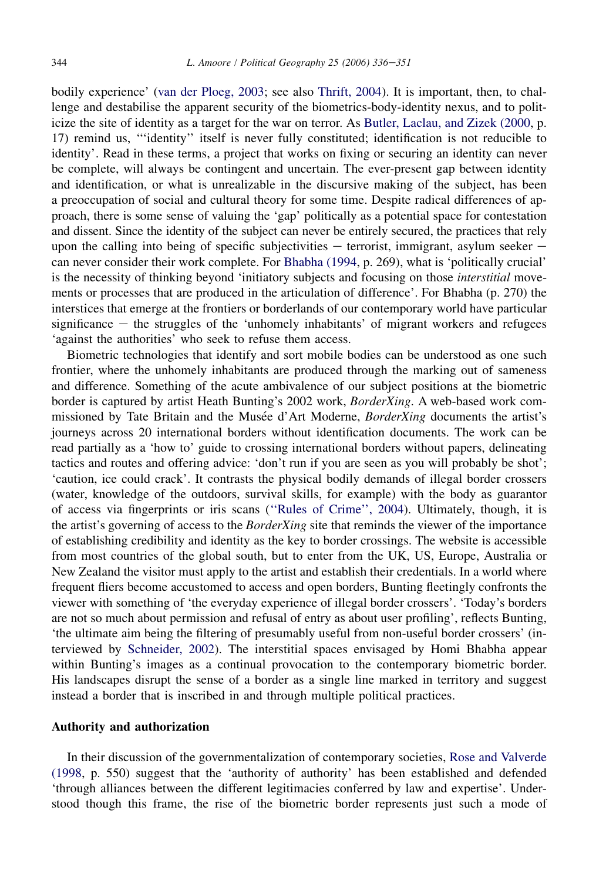bodily experience' ([van der Ploeg, 2003](#page-15-0); see also [Thrift, 2004\)](#page-15-0). It is important, then, to challenge and destabilise the apparent security of the biometrics-body-identity nexus, and to politicize the site of identity as a target for the war on terror. As [Butler, Laclau, and Zizek \(2000,](#page-13-0) p. 17) remind us, '''identity'' itself is never fully constituted; identification is not reducible to identity'. Read in these terms, a project that works on fixing or securing an identity can never be complete, will always be contingent and uncertain. The ever-present gap between identity and identification, or what is unrealizable in the discursive making of the subject, has been a preoccupation of social and cultural theory for some time. Despite radical differences of approach, there is some sense of valuing the 'gap' politically as a potential space for contestation and dissent. Since the identity of the subject can never be entirely secured, the practices that rely upon the calling into being of specific subjectivities  $-$  terrorist, immigrant, asylum seeker  $$ can never consider their work complete. For [Bhabha \(1994,](#page-13-0) p. 269), what is 'politically crucial' is the necessity of thinking beyond 'initiatory subjects and focusing on those *interstitial* movements or processes that are produced in the articulation of difference'. For Bhabha (p. 270) the interstices that emerge at the frontiers or borderlands of our contemporary world have particular significance  $-$  the struggles of the 'unhomely inhabitants' of migrant workers and refugees 'against the authorities' who seek to refuse them access.

Biometric technologies that identify and sort mobile bodies can be understood as one such frontier, where the unhomely inhabitants are produced through the marking out of sameness and difference. Something of the acute ambivalence of our subject positions at the biometric border is captured by artist Heath Bunting's 2002 work, *BorderXing*. A web-based work commissioned by Tate Britain and the Musée d'Art Moderne, BorderXing documents the artist's journeys across 20 international borders without identification documents. The work can be read partially as a 'how to' guide to crossing international borders without papers, delineating tactics and routes and offering advice: 'don't run if you are seen as you will probably be shot'; 'caution, ice could crack'. It contrasts the physical bodily demands of illegal border crossers (water, knowledge of the outdoors, survival skills, for example) with the body as guarantor of access via fingerprints or iris scans [\(''Rules of Crime'', 2004\)](#page-15-0). Ultimately, though, it is the artist's governing of access to the *BorderXing* site that reminds the viewer of the importance of establishing credibility and identity as the key to border crossings. The website is accessible from most countries of the global south, but to enter from the UK, US, Europe, Australia or New Zealand the visitor must apply to the artist and establish their credentials. In a world where frequent fliers become accustomed to access and open borders, Bunting fleetingly confronts the viewer with something of 'the everyday experience of illegal border crossers'. 'Today's borders are not so much about permission and refusal of entry as about user profiling', reflects Bunting, 'the ultimate aim being the filtering of presumably useful from non-useful border crossers' (interviewed by [Schneider, 2002\)](#page-15-0). The interstitial spaces envisaged by Homi Bhabha appear within Bunting's images as a continual provocation to the contemporary biometric border. His landscapes disrupt the sense of a border as a single line marked in territory and suggest instead a border that is inscribed in and through multiple political practices.

## Authority and authorization

In their discussion of the governmentalization of contemporary societies, [Rose and Valverde](#page-15-0) [\(1998](#page-15-0), p. 550) suggest that the 'authority of authority' has been established and defended 'through alliances between the different legitimacies conferred by law and expertise'. Understood though this frame, the rise of the biometric border represents just such a mode of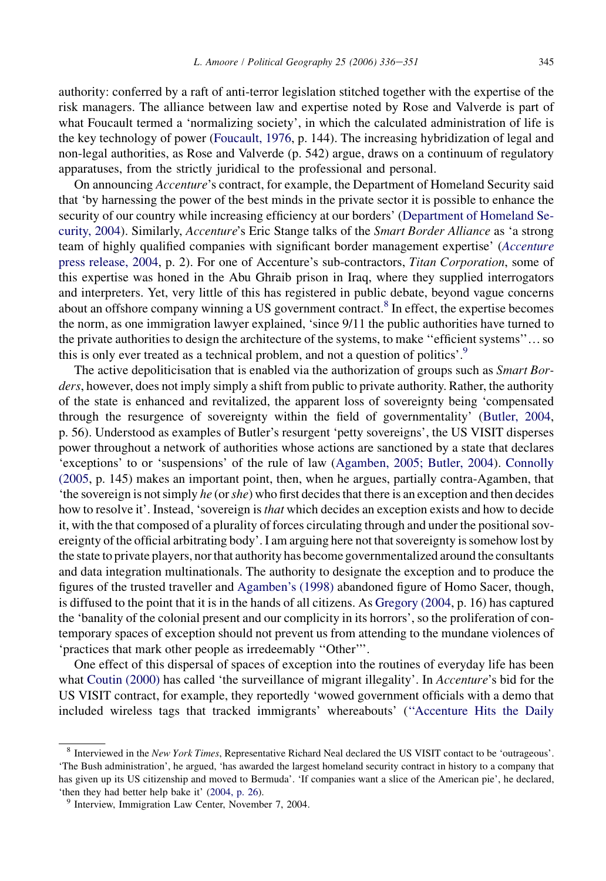authority: conferred by a raft of anti-terror legislation stitched together with the expertise of the risk managers. The alliance between law and expertise noted by Rose and Valverde is part of what Foucault termed a 'normalizing society', in which the calculated administration of life is the key technology of power [\(Foucault, 1976](#page-14-0), p. 144). The increasing hybridization of legal and non-legal authorities, as Rose and Valverde (p. 542) argue, draws on a continuum of regulatory apparatuses, from the strictly juridical to the professional and personal.

On announcing Accenture's contract, for example, the Department of Homeland Security said that 'by harnessing the power of the best minds in the private sector it is possible to enhance the security of our country while increasing efficiency at our borders' ([Department of Homeland Se](#page-14-0)[curity, 2004](#page-14-0)). Similarly, *Accenture's* Eric Stange talks of the *Smart Border Alliance* as 'a strong team of highly qualified companies with significant border management expertise' ([Accenture](#page-13-0) [press release, 2004](#page-13-0), p. 2). For one of Accenture's sub-contractors, Titan Corporation, some of this expertise was honed in the Abu Ghraib prison in Iraq, where they supplied interrogators and interpreters. Yet, very little of this has registered in public debate, beyond vague concerns about an offshore company winning a US government contract.<sup>8</sup> In effect, the expertise becomes the norm, as one immigration lawyer explained, 'since 9/11 the public authorities have turned to the private authorities to design the architecture of the systems, to make "efficient systems"... so this is only ever treated as a technical problem, and not a question of politics'.<sup>9</sup>

The active depoliticisation that is enabled via the authorization of groups such as *Smart Bor*ders, however, does not imply simply a shift from public to private authority. Rather, the authority of the state is enhanced and revitalized, the apparent loss of sovereignty being 'compensated through the resurgence of sovereignty within the field of governmentality' [\(Butler, 2004](#page-13-0), p. 56). Understood as examples of Butler's resurgent 'petty sovereigns', the US VISIT disperses power throughout a network of authorities whose actions are sanctioned by a state that declares 'exceptions' to or 'suspensions' of the rule of law [\(Agamben, 2005; Butler, 2004](#page-13-0)). [Connolly](#page-14-0) [\(2005,](#page-14-0) p. 145) makes an important point, then, when he argues, partially contra-Agamben, that 'the sovereign is not simply he (or she) who first decides that there is an exception and then decides how to resolve it'. Instead, 'sovereign is *that* which decides an exception exists and how to decide it, with the that composed of a plurality of forces circulating through and under the positional sovereignty of the official arbitrating body'. I am arguing here not that sovereignty is somehow lost by the state to private players, nor that authority has become governmentalized around the consultants and data integration multinationals. The authority to designate the exception and to produce the figures of the trusted traveller and [Agamben's \(1998\)](#page-13-0) abandoned figure of Homo Sacer, though, is diffused to the point that it is in the hands of all citizens. As [Gregory \(2004](#page-14-0), p. 16) has captured the 'banality of the colonial present and our complicity in its horrors', so the proliferation of contemporary spaces of exception should not prevent us from attending to the mundane violences of 'practices that mark other people as irredeemably ''Other'''.

One effect of this dispersal of spaces of exception into the routines of everyday life has been what [Coutin \(2000\)](#page-14-0) has called 'the surveillance of migrant illegality'. In Accenture's bid for the US VISIT contract, for example, they reportedly 'wowed government officials with a demo that included wireless tags that tracked immigrants' whereabouts' [\(''Accenture Hits the Daily](#page-13-0)

<sup>&</sup>lt;sup>8</sup> Interviewed in the New York Times, Representative Richard Neal declared the US VISIT contact to be 'outrageous'. 'The Bush administration', he argued, 'has awarded the largest homeland security contract in history to a company that has given up its US citizenship and moved to Bermuda'. 'If companies want a slice of the American pie', he declared, 'then they had better help bake it' [\(2004, p. 26](#page-14-0)). <sup>9</sup> Interview, Immigration Law Center, November 7, 2004.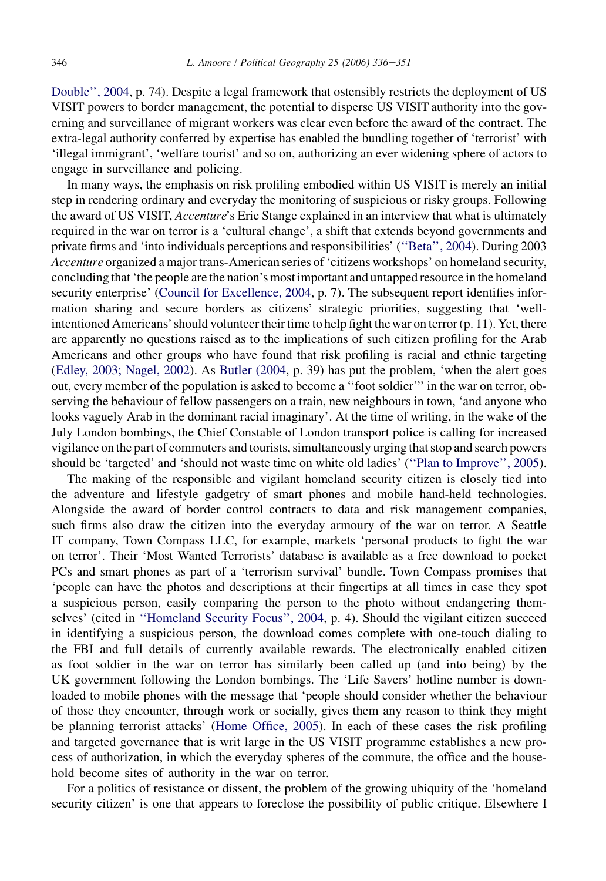[Double'', 2004,](#page-13-0) p. 74). Despite a legal framework that ostensibly restricts the deployment of US VISIT powers to border management, the potential to disperse US VISIT authority into the governing and surveillance of migrant workers was clear even before the award of the contract. The extra-legal authority conferred by expertise has enabled the bundling together of 'terrorist' with 'illegal immigrant', 'welfare tourist' and so on, authorizing an ever widening sphere of actors to engage in surveillance and policing.

In many ways, the emphasis on risk profiling embodied within US VISIT is merely an initial step in rendering ordinary and everyday the monitoring of suspicious or risky groups. Following the award of US VISIT, *Accenture's* Eric Stange explained in an interview that what is ultimately required in the war on terror is a 'cultural change', a shift that extends beyond governments and private firms and 'into individuals perceptions and responsibilities' [\(''Beta'', 2004](#page-13-0)). During 2003 Accenture organized a major trans-American series of 'citizens workshops' on homeland security, concluding that 'the people are the nation's most important and untapped resource in the homeland security enterprise' ([Council for Excellence, 2004](#page-14-0), p. 7). The subsequent report identifies information sharing and secure borders as citizens' strategic priorities, suggesting that 'wellintentioned Americans' should volunteer their time to help fight the war on terror (p. 11). Yet, there are apparently no questions raised as to the implications of such citizen profiling for the Arab Americans and other groups who have found that risk profiling is racial and ethnic targeting [\(Edley, 2003; Nagel, 2002\)](#page-14-0). As [Butler \(2004,](#page-13-0) p. 39) has put the problem, 'when the alert goes out, every member of the population is asked to become a ''foot soldier''' in the war on terror, observing the behaviour of fellow passengers on a train, new neighbours in town, 'and anyone who looks vaguely Arab in the dominant racial imaginary'. At the time of writing, in the wake of the July London bombings, the Chief Constable of London transport police is calling for increased vigilance on the part of commuters and tourists, simultaneously urging that stop and search powers should be 'targeted' and 'should not waste time on white old ladies' ([''Plan to Improve'', 2005\)](#page-15-0).

The making of the responsible and vigilant homeland security citizen is closely tied into the adventure and lifestyle gadgetry of smart phones and mobile hand-held technologies. Alongside the award of border control contracts to data and risk management companies, such firms also draw the citizen into the everyday armoury of the war on terror. A Seattle IT company, Town Compass LLC, for example, markets 'personal products to fight the war on terror'. Their 'Most Wanted Terrorists' database is available as a free download to pocket PCs and smart phones as part of a 'terrorism survival' bundle. Town Compass promises that 'people can have the photos and descriptions at their fingertips at all times in case they spot a suspicious person, easily comparing the person to the photo without endangering themselves' (cited in [''Homeland Security Focus'', 2004](#page-14-0), p. 4). Should the vigilant citizen succeed in identifying a suspicious person, the download comes complete with one-touch dialing to the FBI and full details of currently available rewards. The electronically enabled citizen as foot soldier in the war on terror has similarly been called up (and into being) by the UK government following the London bombings. The 'Life Savers' hotline number is downloaded to mobile phones with the message that 'people should consider whether the behaviour of those they encounter, through work or socially, gives them any reason to think they might be planning terrorist attacks' [\(Home Office, 2005](#page-14-0)). In each of these cases the risk profiling and targeted governance that is writ large in the US VISIT programme establishes a new process of authorization, in which the everyday spheres of the commute, the office and the household become sites of authority in the war on terror.

For a politics of resistance or dissent, the problem of the growing ubiquity of the 'homeland security citizen' is one that appears to foreclose the possibility of public critique. Elsewhere I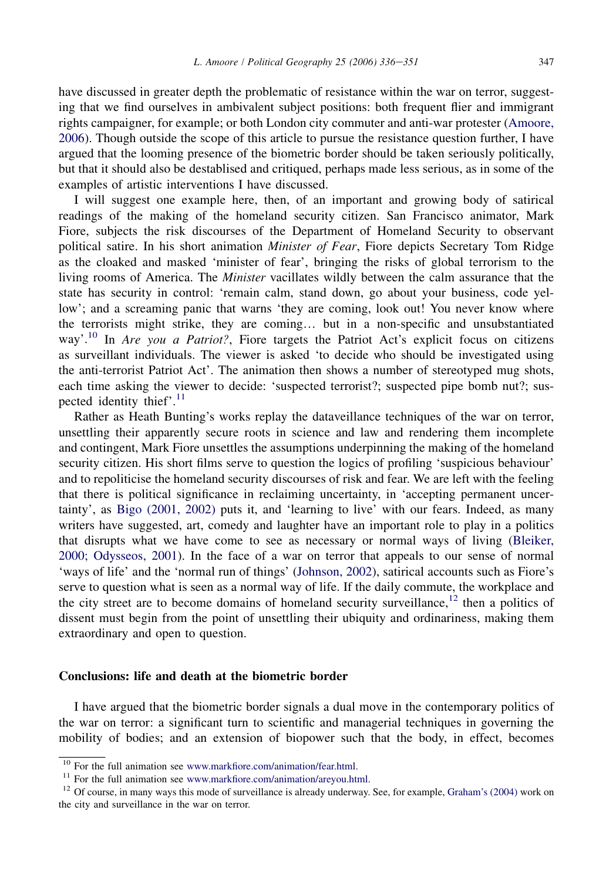have discussed in greater depth the problematic of resistance within the war on terror, suggesting that we find ourselves in ambivalent subject positions: both frequent flier and immigrant rights campaigner, for example; or both London city commuter and anti-war protester ([Amoore,](#page-13-0) [2006](#page-13-0)). Though outside the scope of this article to pursue the resistance question further, I have argued that the looming presence of the biometric border should be taken seriously politically, but that it should also be destablised and critiqued, perhaps made less serious, as in some of the examples of artistic interventions I have discussed.

I will suggest one example here, then, of an important and growing body of satirical readings of the making of the homeland security citizen. San Francisco animator, Mark Fiore, subjects the risk discourses of the Department of Homeland Security to observant political satire. In his short animation *Minister of Fear*, Fiore depicts Secretary Tom Ridge as the cloaked and masked 'minister of fear', bringing the risks of global terrorism to the living rooms of America. The Minister vacillates wildly between the calm assurance that the state has security in control: 'remain calm, stand down, go about your business, code yellow'; and a screaming panic that warns 'they are coming, look out! You never know where the terrorists might strike, they are coming... but in a non-specific and unsubstantiated way'.<sup>10</sup> In *Are you a Patriot?*, Fiore targets the Patriot Act's explicit focus on citizens as surveillant individuals. The viewer is asked 'to decide who should be investigated using the anti-terrorist Patriot Act'. The animation then shows a number of stereotyped mug shots, each time asking the viewer to decide: 'suspected terrorist?; suspected pipe bomb nut?; suspected identity thief'. $^{11}$ 

Rather as Heath Bunting's works replay the dataveillance techniques of the war on terror, unsettling their apparently secure roots in science and law and rendering them incomplete and contingent, Mark Fiore unsettles the assumptions underpinning the making of the homeland security citizen. His short films serve to question the logics of profiling 'suspicious behaviour' and to repoliticise the homeland security discourses of risk and fear. We are left with the feeling that there is political significance in reclaiming uncertainty, in 'accepting permanent uncertainty', as [Bigo \(2001, 2002\)](#page-13-0) puts it, and 'learning to live' with our fears. Indeed, as many writers have suggested, art, comedy and laughter have an important role to play in a politics that disrupts what we have come to see as necessary or normal ways of living [\(Bleiker,](#page-13-0) [2000; Odysseos, 2001](#page-13-0)). In the face of a war on terror that appeals to our sense of normal 'ways of life' and the 'normal run of things' ([Johnson, 2002](#page-14-0)), satirical accounts such as Fiore's serve to question what is seen as a normal way of life. If the daily commute, the workplace and the city street are to become domains of homeland security surveillance, $12$  then a politics of dissent must begin from the point of unsettling their ubiquity and ordinariness, making them extraordinary and open to question.

## Conclusions: life and death at the biometric border

I have argued that the biometric border signals a dual move in the contemporary politics of the war on terror: a significant turn to scientific and managerial techniques in governing the mobility of bodies; and an extension of biopower such that the body, in effect, becomes

<sup>&</sup>lt;sup>10</sup> For the full animation see [www.markfiore.com/animation/fear.html.](http://www.markfiore.com/animation/fear.html)<br><sup>11</sup> For the full animation see [www.markfiore.com/animation/areyou.html](http://www.markfiore.com/animation/areyou.html).<br><sup>12</sup> Of course, in many ways this mode of surveillance is already underway. S the city and surveillance in the war on terror.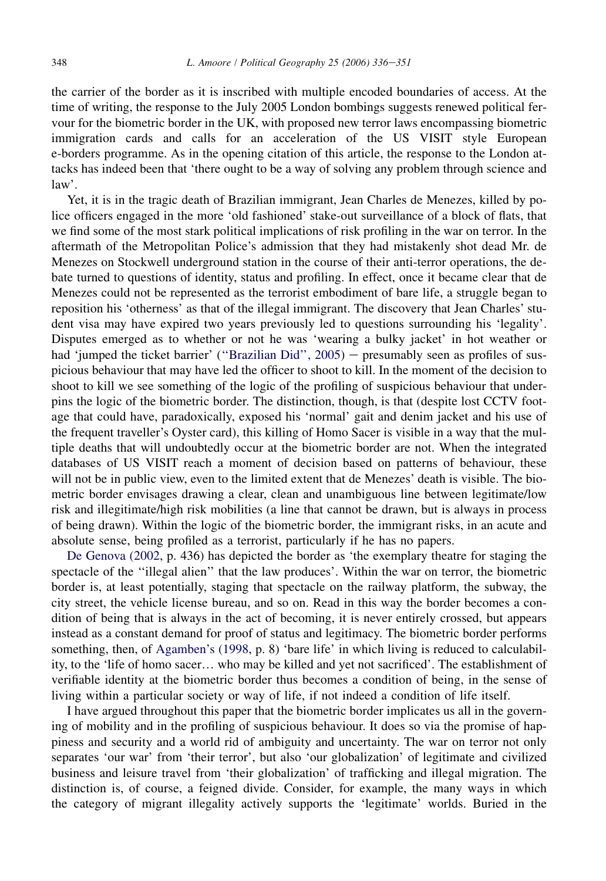the carrier of the border as it is inscribed with multiple encoded boundaries of access. At the time of writing, the response to the July 2005 London bombings suggests renewed political fervour for the biometric border in the UK, with proposed new terror laws encompassing biometric immigration cards and calls for an acceleration of the US VISIT style European e-borders programme. As in the opening citation of this article, the response to the London attacks has indeed been that 'there ought to be a way of solving any problem through science and law'.

Yet, it is in the tragic death of Brazilian immigrant, Jean Charles de Menezes, killed by police officers engaged in the more 'old fashioned' stake-out surveillance of a block of flats, that we find some of the most stark political implications of risk profiling in the war on terror. In the aftermath of the Metropolitan Police's admission that they had mistakenly shot dead Mr. de Menezes on Stockwell underground station in the course of their anti-terror operations, the debate turned to questions of identity, status and profiling. In effect, once it became clear that de Menezes could not be represented as the terrorist embodiment of bare life, a struggle began to reposition his 'otherness' as that of the illegal immigrant. The discovery that Jean Charles' student visa may have expired two years previously led to questions surrounding his 'legality'. Disputes emerged as to whether or not he was 'wearing a bulky jacket' in hot weather or had 'jumped the ticket barrier' ("Brazilian Did",  $2005$ ) – presumably seen as profiles of suspicious behaviour that may have led the officer to shoot to kill. In the moment of the decision to shoot to kill we see something of the logic of the profiling of suspicious behaviour that underpins the logic of the biometric border. The distinction, though, is that (despite lost CCTV footage that could have, paradoxically, exposed his 'normal' gait and denim jacket and his use of the frequent traveller's Oyster card), this killing of Homo Sacer is visible in a way that the multiple deaths that will undoubtedly occur at the biometric border are not. When the integrated databases of US VISIT reach a moment of decision based on patterns of behaviour, these will not be in public view, even to the limited extent that de Menezes' death is visible. The biometric border envisages drawing a clear, clean and unambiguous line between legitimate/low risk and illegitimate/high risk mobilities (a line that cannot be drawn, but is always in process of being drawn). Within the logic of the biometric border, the immigrant risks, in an acute and absolute sense, being profiled as a terrorist, particularly if he has no papers.

[De Genova \(2002](#page-14-0), p. 436) has depicted the border as 'the exemplary theatre for staging the spectacle of the ''illegal alien'' that the law produces'. Within the war on terror, the biometric border is, at least potentially, staging that spectacle on the railway platform, the subway, the city street, the vehicle license bureau, and so on. Read in this way the border becomes a condition of being that is always in the act of becoming, it is never entirely crossed, but appears instead as a constant demand for proof of status and legitimacy. The biometric border performs something, then, of [Agamben's \(1998](#page-13-0), p. 8) 'bare life' in which living is reduced to calculability, to the 'life of homo sacer. who may be killed and yet not sacrificed'. The establishment of verifiable identity at the biometric border thus becomes a condition of being, in the sense of living within a particular society or way of life, if not indeed a condition of life itself.

I have argued throughout this paper that the biometric border implicates us all in the governing of mobility and in the profiling of suspicious behaviour. It does so via the promise of happiness and security and a world rid of ambiguity and uncertainty. The war on terror not only separates 'our war' from 'their terror', but also 'our globalization' of legitimate and civilized business and leisure travel from 'their globalization' of trafficking and illegal migration. The distinction is, of course, a feigned divide. Consider, for example, the many ways in which the category of migrant illegality actively supports the 'legitimate' worlds. Buried in the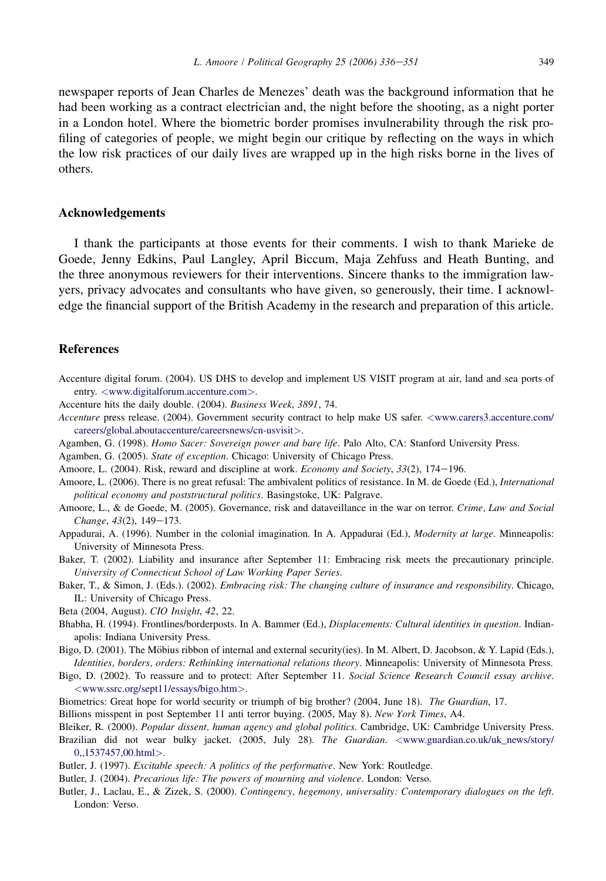<span id="page-13-0"></span>newspaper reports of Jean Charles de Menezes' death was the background information that he had been working as a contract electrician and, the night before the shooting, as a night porter in a London hotel. Where the biometric border promises invulnerability through the risk profiling of categories of people, we might begin our critique by reflecting on the ways in which the low risk practices of our daily lives are wrapped up in the high risks borne in the lives of others.

### Acknowledgements

I thank the participants at those events for their comments. I wish to thank Marieke de Goede, Jenny Edkins, Paul Langley, April Biccum, Maja Zehfuss and Heath Bunting, and the three anonymous reviewers for their interventions. Sincere thanks to the immigration lawyers, privacy advocates and consultants who have given, so generously, their time. I acknowledge the financial support of the British Academy in the research and preparation of this article.

## References

Accenture digital forum. (2004). US DHS to develop and implement US VISIT program at air, land and sea ports of entry. <[www.digitalforum.accenture.com](http://www.digitalforum.accenture.com)>.

Accenture hits the daily double. (2004). Business Week, 3891, 74.

- Accenture press release. (2004). Government security contract to help make US safer. <[www.carers3.accenture.com/](http://www.carers3.accenture.com/careers/global.aboutaccenture/careersnews/cn-usvisit) [careers/global.aboutaccenture/careersnews/cn-usvisit](http://www.carers3.accenture.com/careers/global.aboutaccenture/careersnews/cn-usvisit)>.
- Agamben, G. (1998). Homo Sacer: Sovereign power and bare life. Palo Alto, CA: Stanford University Press.

Agamben, G. (2005). State of exception. Chicago: University of Chicago Press.

- Amoore, L. (2004). Risk, reward and discipline at work. *Economy and Society*, 33(2), 174–196.
- Amoore, L. (2006). There is no great refusal: The ambivalent politics of resistance. In M. de Goede (Ed.), International political economy and poststructural politics. Basingstoke, UK: Palgrave.
- Amoore, L., & de Goede, M. (2005). Governance, risk and dataveillance in the war on terror. Crime, Law and Social Change, 43(2), 149-173.
- Appadurai, A. (1996). Number in the colonial imagination. In A. Appadurai (Ed.), Modernity at large. Minneapolis: University of Minnesota Press.

Baker, T. (2002). Liability and insurance after September 11: Embracing risk meets the precautionary principle. University of Connecticut School of Law Working Paper Series.

Baker, T., & Simon, J. (Eds.). (2002). Embracing risk: The changing culture of insurance and responsibility. Chicago, IL: University of Chicago Press.

Beta (2004, August). CIO Insight, 42, 22.

- Bhabha, H. (1994). Frontlines/borderposts. In A. Bammer (Ed.), Displacements: Cultural identities in question. Indianapolis: Indiana University Press.
- Bigo, D. (2001). The Möbius ribbon of internal and external security(ies). In M. Albert, D. Jacobson, & Y. Lapid (Eds.), Identities, borders, orders: Rethinking international relations theory. Minneapolis: University of Minnesota Press.
- Bigo, D. (2002). To reassure and to protect: After September 11. Social Science Research Council essay archive. <[www.ssrc.org/sept11/essays/bigo.htm](http://www.ssrc.org/sept11/essays/bigo.htm)>.
- Biometrics: Great hope for world security or triumph of big brother? (2004, June 18). The Guardian, 17.

Billions misspent in post September 11 anti terror buying. (2005, May 8). New York Times, A4.

Bleiker, R. (2000). Popular dissent, human agency and global politics. Cambridge, UK: Cambridge University Press.

Brazilian did not wear bulky jacket. (2005, July 28). The Guardian. <[www.guardian.co.uk/uk\\_news/story/](http://www.guardian.co.uk/uk_news/story/0,,%201537457,%2000.html) [0,,1537457,00.html](http://www.guardian.co.uk/uk_news/story/0,,%201537457,%2000.html)>.

Butler, J. (1997). Excitable speech: A politics of the performative. New York: Routledge.

Butler, J. (2004). Precarious life: The powers of mourning and violence. London: Verso.

Butler, J., Laclau, E., & Zizek, S. (2000). Contingency, hegemony, universality: Contemporary dialogues on the left. London: Verso.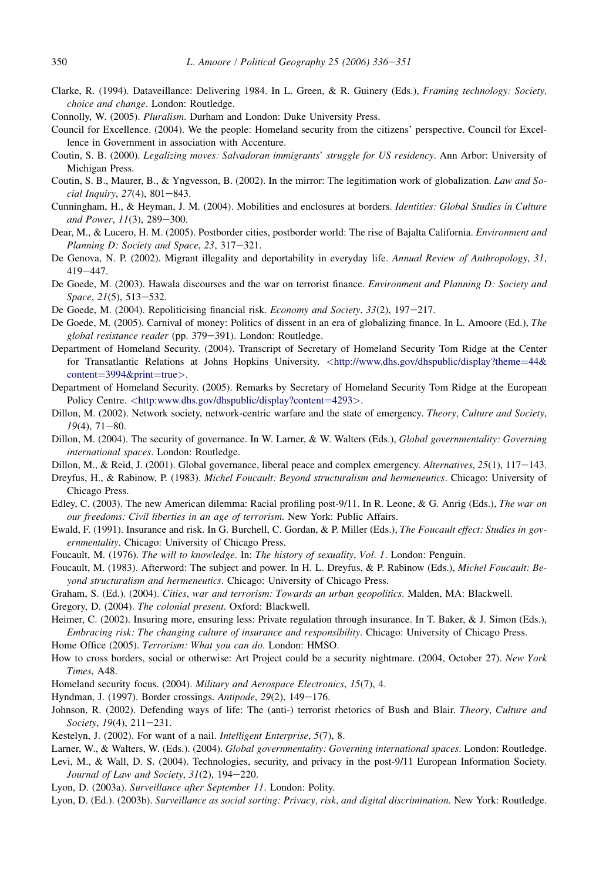- <span id="page-14-0"></span>Clarke, R. (1994). Dataveillance: Delivering 1984. In L. Green, & R. Guinery (Eds.), Framing technology: Society, choice and change. London: Routledge.
- Connolly, W. (2005). Pluralism. Durham and London: Duke University Press.
- Council for Excellence. (2004). We the people: Homeland security from the citizens' perspective. Council for Excellence in Government in association with Accenture.
- Coutin, S. B. (2000). Legalizing moves: Salvadoran immigrants' struggle for US residency. Ann Arbor: University of Michigan Press.
- Coutin, S. B., Maurer, B., & Yngvesson, B. (2002). In the mirror: The legitimation work of globalization. Law and So $cial$  Inquiry, 27(4), 801-843.
- Cunningham, H., & Heyman, J. M. (2004). Mobilities and enclosures at borders. Identities: Global Studies in Culture and Power,  $11(3)$ ,  $289-300$ .
- Dear, M., & Lucero, H. M. (2005). Postborder cities, postborder world: The rise of Bajalta California. Environment and Planning D: Society and Space, 23, 317-321.
- De Genova, N. P. (2002). Migrant illegality and deportability in everyday life. Annual Review of Anthropology, 31, 419-447.
- De Goede, M. (2003). Hawala discourses and the war on terrorist finance. Environment and Planning D: Society and Space, 21(5), 513-532.
- De Goede, M. (2004). Repoliticising financial risk. Economy and Society, 33(2), 197-217.
- De Goede, M. (2005). Carnival of money: Politics of dissent in an era of globalizing finance. In L. Amoore (Ed.), The global resistance reader (pp. 379-391). London: Routledge.
- Department of Homeland Security. (2004). Transcript of Secretary of Homeland Security Tom Ridge at the Center for Transatlantic Relations at Johns Hopkins University. <[http://www.dhs.gov/dhspublic/display?theme](http://www.dhs.gov/dhspublic/display%3Ftheme%3D44%26;content%3D3994%26print%3Dtrue)=[44&](http://www.dhs.gov/dhspublic/display%3Ftheme%3D44%26;content%3D3994%26print%3Dtrue) [content](http://www.dhs.gov/dhspublic/display%3Ftheme%3D44%26;content%3D3994%26print%3Dtrue)=[3994&print](http://www.dhs.gov/dhspublic/display%3Ftheme%3D44%26;content%3D3994%26print%3Dtrue)=[true](http://www.dhs.gov/dhspublic/display%3Ftheme%3D44%26;content%3D3994%26print%3Dtrue)>.
- Department of Homeland Security. (2005). Remarks by Secretary of Homeland Security Tom Ridge at the European Policy Centre. <[http:www.dhs.gov/dhspublic/display?content](http:www.dhs.gov/dhspublic/display%3Fcontent=4293)=[4293](http:www.dhs.gov/dhspublic/display%3Fcontent=4293)>.
- Dillon, M. (2002). Network society, network-centric warfare and the state of emergency. Theory, Culture and Society,  $19(4)$ ,  $71-80$ .
- Dillon, M. (2004). The security of governance. In W. Larner, & W. Walters (Eds.), Global governmentality: Governing international spaces. London: Routledge.
- Dillon, M., & Reid, J. (2001). Global governance, liberal peace and complex emergency. Alternatives, 25(1), 117-143.
- Dreyfus, H., & Rabinow, P. (1983). Michel Foucault: Beyond structuralism and hermeneutics. Chicago: University of Chicago Press.
- Edley, C. (2003). The new American dilemma: Racial profiling post-9/11. In R. Leone, & G. Anrig (Eds.), The war on our freedoms: Civil liberties in an age of terrorism. New York: Public Affairs.
- Ewald, F. (1991). Insurance and risk. In G. Burchell, C. Gordan, & P. Miller (Eds.), The Foucault effect: Studies in governmentality. Chicago: University of Chicago Press.
- Foucault, M. (1976). The will to knowledge. In: The history of sexuality, Vol. 1. London: Penguin.
- Foucault, M. (1983). Afterword: The subject and power. In H. L. Dreyfus, & P. Rabinow (Eds.), Michel Foucault: Beyond structuralism and hermeneutics. Chicago: University of Chicago Press.
- Graham, S. (Ed.). (2004). Cities, war and terrorism: Towards an urban geopolitics. Malden, MA: Blackwell.
- Gregory, D. (2004). The colonial present. Oxford: Blackwell.
- Heimer, C. (2002). Insuring more, ensuring less: Private regulation through insurance. In T. Baker, & J. Simon (Eds.), Embracing risk: The changing culture of insurance and responsibility. Chicago: University of Chicago Press.
- Home Office (2005). Terrorism: What you can do. London: HMSO.
- How to cross borders, social or otherwise: Art Project could be a security nightmare. (2004, October 27). New York Times, A48.
- Homeland security focus. (2004). Military and Aerospace Electronics, 15(7), 4.
- Hyndman, J. (1997). Border crossings. Antipode, 29(2), 149-176.
- Johnson, R. (2002). Defending ways of life: The (anti-) terrorist rhetorics of Bush and Blair. Theory, Culture and Society, 19(4), 211-231.
- Kestelyn, J. (2002). For want of a nail. Intelligent Enterprise, 5(7), 8.
- Larner, W., & Walters, W. (Eds.). (2004). Global governmentality: Governing international spaces. London: Routledge.
- Levi, M., & Wall, D. S. (2004). Technologies, security, and privacy in the post-9/11 European Information Society. Journal of Law and Society,  $31(2)$ ,  $194-220$ .
- Lyon, D. (2003a). Surveillance after September 11. London: Polity.
- Lyon, D. (Ed.). (2003b). Surveillance as social sorting: Privacy, risk, and digital discrimination. New York: Routledge.